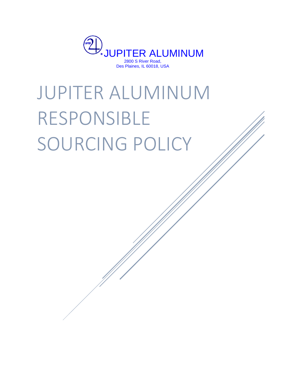

# JUPITER ALUMINUM RESPONSIBLE SOURCING POLICY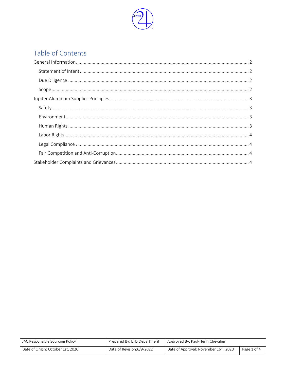

# Table of Contents

| JAC Responsible Sourcing Policy   | Prepared By: EHS Department | Approved By: Paul-Henri Chevalier                  |             |
|-----------------------------------|-----------------------------|----------------------------------------------------|-------------|
| Date of Origin: October 1st, 2020 | Date of Revision:6/9/2022   | Date of Approval: November 16 <sup>th</sup> , 2020 | Page 1 of 4 |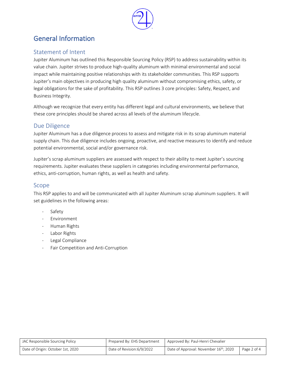

# <span id="page-2-0"></span>General Information

## <span id="page-2-1"></span>Statement of Intent

Jupiter Aluminum has outlined this Responsible Sourcing Policy (RSP) to address sustainability within its value chain. Jupiter strives to produce high-quality aluminum with minimal environmental and social impact while maintaining positive relationships with its stakeholder communities. This RSP supports Jupiter's main objectives in producing high quality aluminum without compromising ethics, safety, or legal obligations for the sake of profitability. This RSP outlines 3 core principles: Safety, Respect, and Business Integrity.

Although we recognize that every entity has different legal and cultural environments, we believe that these core principles should be shared across all levels of the aluminum lifecycle.

#### <span id="page-2-2"></span>Due Diligence

Jupiter Aluminum has a due diligence process to assess and mitigate risk in its scrap aluminum material supply chain. This due diligence includes ongoing, proactive, and reactive measures to identify and reduce potential environmental, social and/or governance risk.

Jupiter's scrap aluminum suppliers are assessed with respect to their ability to meet Jupiter's sourcing requirements. Jupiter evaluates these suppliers in categories including environmental performance, ethics, anti-corruption, human rights, as well as health and safety.

#### <span id="page-2-3"></span>Scope

This RSP applies to and will be communicated with all Jupiter Aluminum scrap aluminum suppliers. It will set guidelines in the following areas:

- **Safety**
- Environment
- Human Rights
- Labor Rights
- Legal Compliance
- Fair Competition and Anti-Corruption

| JAC Responsible Sourcing Policy   | Prepared By: EHS Department | Approved By: Paul-Henri Chevalier                  |             |
|-----------------------------------|-----------------------------|----------------------------------------------------|-------------|
| Date of Origin: October 1st, 2020 | Date of Revision: 6/9/2022  | Date of Approval: November 16 <sup>th</sup> , 2020 | Page 2 of 4 |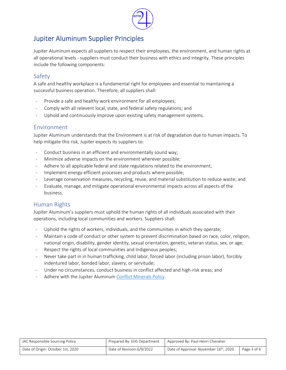

## <span id="page-3-0"></span>Jupiter Aluminum Supplier Principles

Jupiter Aluminum expects all suppliers to respect their employees, the environment, and human rights at all operational levels - suppliers must conduct their business with ethics and integrity. These principles include the following components:

#### <span id="page-3-1"></span>Safety

A safe and healthy workplace is a fundamental right for employees and essential to maintaining a successful business operation. Therefore, all suppliers shall:

- Provide a safe and healthy work environment for all employees;
- Comply with all relevent local, state, and federal safety regulations; and
- Uphold and continuously improve upon existing safety management systems.

#### <span id="page-3-2"></span>Environment

Jupiter Aluminum understands that the Environment is at risk of degradation due to human impacts. To help mitigate this risk, Jupiter expects its suppliers to:

- Conduct business in an efficient and environmentally sound way;
- Minimize adverse impacts on the environment wherever possible;
- Adhere to all applicable federal and state regulations related to the environment;
- Implement energy-efficient processes and products where possible;
- Leverage conservation measures, recycling, reuse, and material substitution to reduce waste; and
- Evaluate, manage, and mitigate operational environmental impacts across all aspects of the business.

#### <span id="page-3-3"></span>Human Rights

Jupiter Aluminum's suppliers must uphold the human rights of all individuals associated with their operations, including local communities and workers. Suppliers shall:

- Uphold the rights of workers, individuals, and the communities in which they operate;
- Maintain a code of conduct or other system to prevent discrimination based on race, color, religion, national origin, disability, gender identity, sexual orientation, genetic, veteran status, sex, or age;
- Respect the rights of local communities and Indigenous peoples;
- Never take part in in human trafficking, child labor, forced labor (including prison labor), forcibly indentured labor, bonded labor, slavery, or servitude;
- Under no circumstances, conduct business in conflict affected and high-risk areas; and
- Adhere with the Jupiter Aluminum [Conflict Minerals Policy.](https://www.jupiteraluminum.com/Main/Responsibility)

| JAC Responsible Sourcing Policy   | Prepared By: EHS Department | Approved By: Paul-Henri Chevalier                  |             |
|-----------------------------------|-----------------------------|----------------------------------------------------|-------------|
| Date of Origin: October 1st, 2020 | Date of Revision: 6/9/2022  | Date of Approval: November 16 <sup>th</sup> , 2020 | Page 3 of 4 |